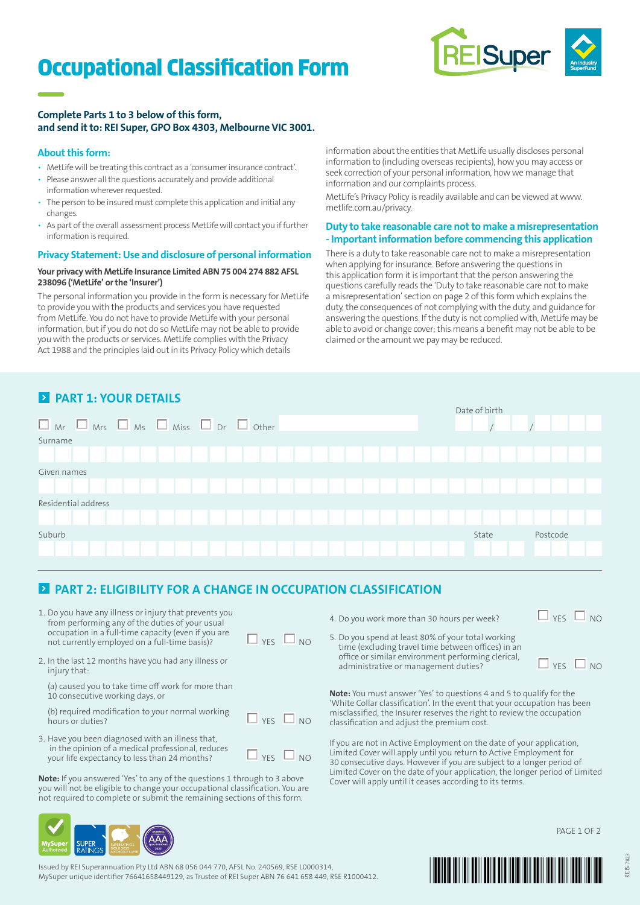# Occupational Classification Form



### **Complete Parts 1 to 3 below of this form, and send it to: REI Super, GPO Box 4303, Melbourne VIC 3001.**

### **About this form:**

- MetLife will be treating this contract as a 'consumer insurance contract'.
- Please answer all the questions accurately and provide additional information wherever requested.
- The person to be insured must complete this application and initial any changes.
- As part of the overall assessment process MetLife will contact you if further information is required.

### **Privacy Statement: Use and disclosure of personal information**

### **Your privacy with MetLife Insurance Limited ABN 75 004 274 882 AFSL 238096 ('MetLife' or the 'Insurer')**

The personal information you provide in the form is necessary for MetLife to provide you with the products and services you have requested from MetLife. You do not have to provide MetLife with your personal information, but if you do not do so MetLife may not be able to provide you with the products or services. MetLife complies with the Privacy Act 1988 and the principles laid out in its Privacy Policy which details

information about the entities that MetLife usually discloses personal information to (including overseas recipients), how you may access or seek correction of your personal information, how we manage that information and our complaints process.

MetLife's Privacy Policy is readily available and can be viewed at www. metlife.com.au/privacy.

### **Duty to take reasonable care not to make a misrepresentation - Important information before commencing this application**

There is a duty to take reasonable care not to make a misrepresentation when applying for insurance. Before answering the questions in this application form it is important that the person answering the questions carefully reads the 'Duty to take reasonable care not to make a misrepresentation' section on page 2 of this form which explains the duty, the consequences of not complying with the duty, and guidance for answering the questions. If the duty is not complied with, MetLife may be able to avoid or change cover; this means a benefit may not be able to be claimed or the amount we pay may be reduced.

### **PART 1: YOUR DETAILS**



### **PART 2: ELIGIBILITY FOR A CHANGE IN OCCUPATION CLASSIFICATION**

- 1. Do you have any illness or injury that prevents you from performing any of the duties of your usual occupation in a full-time capacity (even if you are not currently employed on a full-time basis)?  $\square$  YES  $\square$  NO
- 2. In the last 12 months have you had any illness or injury that:

(a) caused you to take time off work for more than 10 consecutive working days, or

(b) required modification to your normal working hours or duties?  $\Box_{NO}$  NO

3. Have you been diagnosed with an illness that, in the opinion of a medical professional, reduces your life expectancy to less than 24 months?  $\Box$  YES  $\Box$  NO

**Note:** If you answered 'Yes' to any of the questions 1 through to 3 above you will not be eligible to change your occupational classification. You are not required to complete or submit the remaining sections of this form.



5. Do you spend at least 80% of your total working time (excluding travel time between offices) in an office or similar environment performing clerical, administrative or management duties?  $\Box$  YES  $\Box$  NO

PAGE 1 OF 2

**Note:** You must answer 'Yes' to questions 4 and 5 to qualify for the 'White Collar classification'. In the event that your occupation has been misclassified, the Insurer reserves the right to review the occupation classification and adjust the premium cost.

If you are not in Active Employment on the date of your application, Limited Cover will apply until you return to Active Employment for 30 consecutive days. However if you are subject to a longer period of Limited Cover on the date of your application, the longer period of Limited Cover will apply until it ceases according to its terms.



Issued by REI Superannuation Pty Ltd ABN 68 056 044 770, AFSL No. 240569, RSE L0000314, MySuper unique identifier 76641658449129, as Trustee of REI Super ABN 76 641 658 449, RSE R1000412.